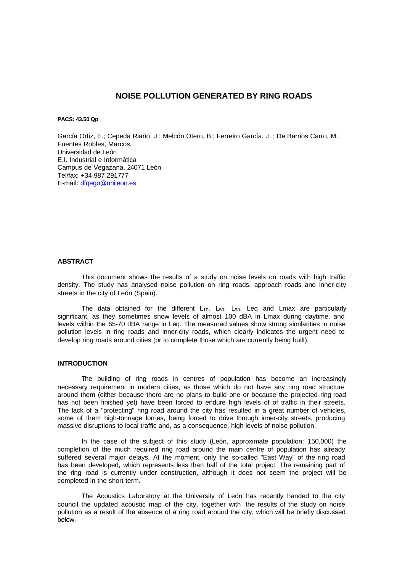# **NOISE POLLUTION GENERATED BY RING ROADS**

**PACS: 43.50 Qp**

García Ortiz, E.; Cepeda Riaño, J.; Melcón Otero, B.; Ferreiro García, J. ; De Barrios Carro, M.; Fuentes Robles, Marcos. Universidad de León E.I. Industrial e Informática Campus de Vegazana. 24071 León Tel/fax: +34 987 291777 E-mail: dfqego@unileon.es

# **ABSTRACT**

This document shows the results of a study on noise levels on roads with high traffic density. The study has analysed noise pollution on ring roads, approach roads and inner-city streets in the city of León (Spain).

The data obtained for the different  $L_{10}$ ,  $L_{50}$ ,  $L_{90}$ , Leq and Lmax are particularly significant, as they sometimes show levels of almost 100 dBA in Lmax during daytime, and levels within the 65-70 dBA range in Leq. The measured values show strong similarities in noise pollution levels in ring roads and inner-city roads, which clearly indicates the urgent need to develop ring roads around cities (or to complete those which are currently being built).

### **INTRODUCTION**

The building of ring roads in centres of population has become an increasingly necessary requirement in modern cities, as those which do not have any ring road structure around them (either because there are no plans to build one or because the projected ring road has not been finished yet) have been forced to endure high levels of of traffic in their streets. The lack of a "protecting" ring road around the city has resulted in a great number of vehicles, some of them high-tonnage lorries, being forced to drive through inner-city streets, producing massive disruptions to local traffic and, as a consequence, high levels of noise pollution.

In the case of the subject of this study (León, approximate population: 150,000) the completion of the much required ring road around the main centre of population has already suffered several major delays. At the moment, only the so-called "East Way" of the ring road has been developed, which represents less than half of the total project. The remaining part of the ring road is currently under construction, although it does not seem the project will be completed in the short term.

The Acoustics Laboratory at the University of León has recently handed to the city council the updated acoustic map of the city, together with the results of the study on noise pollution as a result of the absence of a ring road around the city, which will be briefly discussed below.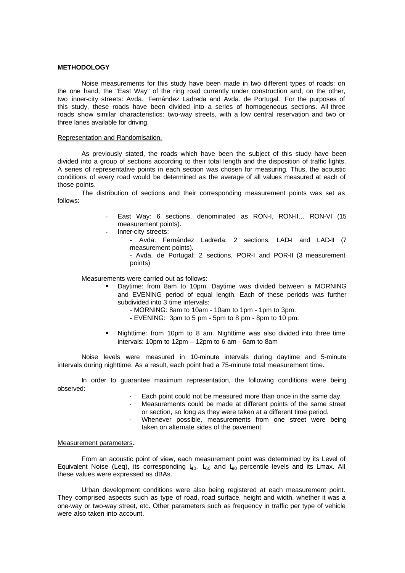# **METHODOLOGY**

Noise measurements for this study have been made in two different types of roads: on the one hand, the "East Way" of the ring road currently under construction and, on the other, two inner-city streets: Avda. Fernández Ladreda and Avda. de Portugal. For the purposes of this study, these roads have been divided into a series of homogeneous sections. All three roads show similar characteristics: two-way streets, with a low central reservation and two or three lanes available for driving.

#### Representation and Randomisation.

As previously stated, the roads which have been the subject of this study have been divided into a group of sections according to their total length and the disposition of traffic lights. A series of representative points in each section was chosen for measuring. Thus, the acoustic conditions of every road would be determined as the average of all values measured at each of those points.

The distribution of sections and their corresponding measurement points was set as follows:

- East Way: 6 sections, denominated as RON-I, RON-II... RON-VI (15 measurement points).
- Inner-city streets:
	- Avda. Fernández Ladreda: 2 sections, LAD-I and LAD-II (7 measurement points). - Avda. de Portugal: 2 sections, POR-I and POR-II (3 measurement points)

Measurements were carried out as follows:

- ß Daytime: from 8am to 10pm. Daytime was divided between a MORNING and EVENING period of equal length. Each of these periods was further subdivided into 3 time intervals:
	- MORNING: 8am to 10am 10am to 1pm 1pm to 3pm.
	- **-** EVENING: 3pm to 5 pm 5pm to 8 pm 8pm to 10 pm.
- ß Nighttime: from 10pm to 8 am. Nighttime was also divided into three time intervals: 10pm to 12pm – 12pm to 6 am - 6am to 8am

Noise levels were measured in 10-minute intervals during daytime and 5-minute intervals during nighttime. As a result, each point had a 75-minute total measurement time.

In order to guarantee maximum representation, the following conditions were being observed:

- Each point could not be measured more than once in the same day.
- Measurements could be made at different points of the same street or section, so long as they were taken at a different time period.
- Whenever possible, measurements from one street were being taken on alternate sides of the pavement.

# Measurement parameters**.**

From an acoustic point of view, each measurement point was determined by its Level of Equivalent Noise (Leq), its corresponding  $L_{10}$ ,  $L_{50}$  and  $L_{90}$  percentile levels and its Lmax. All these values were expressed as dBAs.

Urban development conditions were also being registered at each measurement point. They comprised aspects such as type of road, road surface, height and width, whether it was a one-way or two-way street, etc. Other parameters such as frequency in traffic per type of vehicle were also taken into account.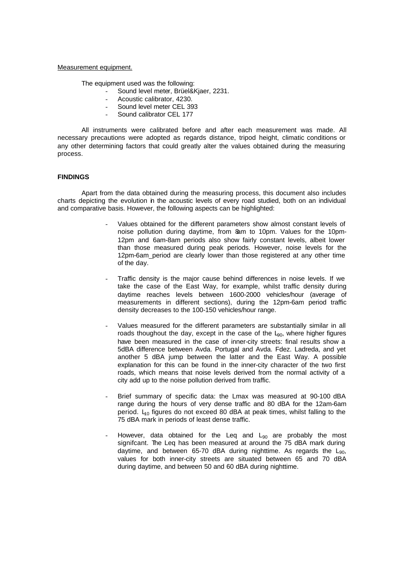### Measurement equipment.

The equipment used was the following:

- Sound level meter, Brüel&Kjaer, 2231.
	- Acoustic calibrator, 4230.
	- Sound level meter CEL 393
	- Sound calibrator CEL 177

All instruments were calibrated before and after each measurement was made. All necessary precautions were adopted as regards distance, tripod height, climatic conditions or any other determining factors that could greatly alter the values obtained during the measuring process.

## **FINDINGS**

Apart from the data obtained during the measuring process, this document also includes charts depicting the evolution in the acoustic levels of every road studied, both on an individual and comparative basis. However, the following aspects can be highlighted:

- Values obtained for the different parameters show almost constant levels of noise pollution during daytime, from 8am to 10pm. Values for the 10pm-12pm and 6am-8am periods also show fairly constant levels, albeit lower than those measured during peak periods. However, noise levels for the 12pm-6am period are clearly lower than those registered at any other time of the day.
- Traffic density is the major cause behind differences in noise levels. If we take the case of the East Way, for example, whilst traffic density during daytime reaches levels between 1600-2000 vehicles/hour (average of measurements in different sections), during the 12pm-6am period traffic density decreases to the 100-150 vehicles/hour range.
- Values measured for the different parameters are substantially similar in all roads thoughout the day, except in the case of the  $L_{90}$ , where higher figures have been measured in the case of inner-city streets: final results show a 5dBA difference between Avda. Portugal and Avda. Fdez. Ladreda, and yet another 5 dBA jump between the latter and the East Way. A possible explanation for this can be found in the inner-city character of the two first roads, which means that noise levels derived from the normal activity of a city add up to the noise pollution derived from traffic.
- Brief summary of specific data: the Lmax was measured at 90-100 dBA range during the hours of very dense traffic and 80 dBA for the 12am-6am period.  $L_0$  figures do not exceed 80 dBA at peak times, whilst falling to the 75 dBA mark in periods of least dense traffic.
- However, data obtained for the Leq and  $L_{90}$  are probably the most signifcant. The Leq has been measured at around the 75 dBA mark during daytime, and between 65-70 dBA during nighttime. As regards the  $L_{90}$ , values for both inner-city streets are situated between 65 and 70 dBA during daytime, and between 50 and 60 dBA during nighttime.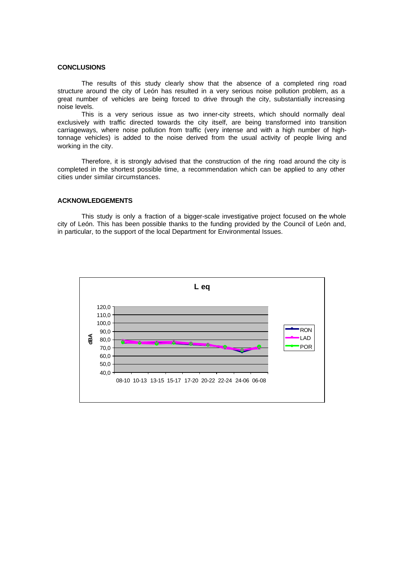# **CONCLUSIONS**

The results of this study clearly show that the absence of a completed ring road structure around the city of León has resulted in a very serious noise pollution problem, as a great number of vehicles are being forced to drive through the city, substantially increasing noise levels.

This is a very serious issue as two inner-city streets, which should normally deal exclusively with traffic directed towards the city itself, are being transformed into transition carriageways, where noise pollution from traffic (very intense and with a high number of hightonnage vehicles) is added to the noise derived from the usual activity of people living and working in the city.

Therefore, it is strongly advised that the construction of the ring road around the city is completed in the shortest possible time, a recommendation which can be applied to any other cities under similar circumstances.

### **ACKNOWLEDGEMENTS**

This study is only a fraction of a bigger-scale investigative project focused on the whole city of León. This has been possible thanks to the funding provided by the Council of León and, in particular, to the support of the local Department for Environmental Issues.

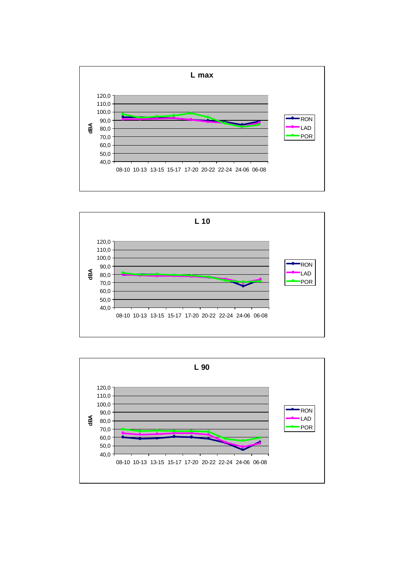